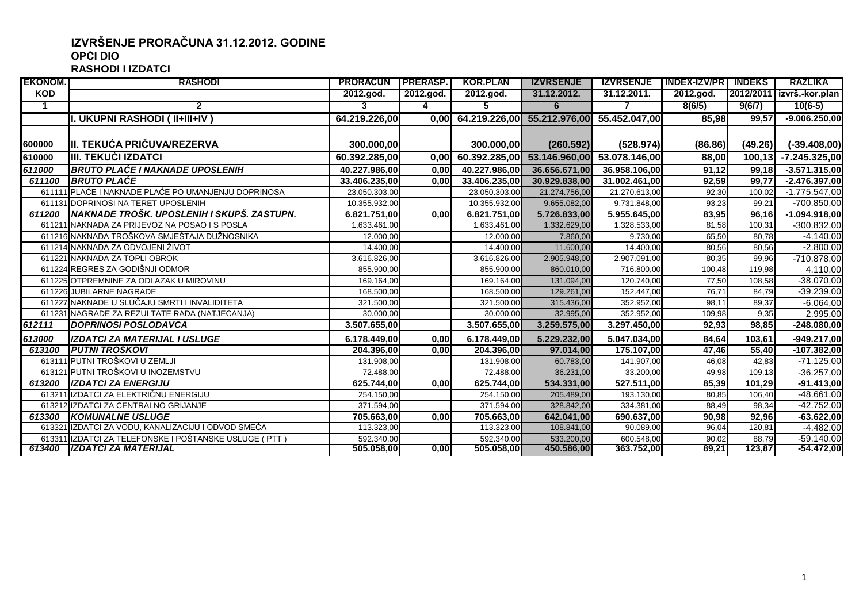## **IZVRŠENJE PRORAČUNA 31.12.2012. GODINE OPĆI DIO RASHODI I IZDATCI**

| <b>EKONOM.</b> | <b>RASHODI</b>                                          | <b>PRORACUN PRERASP.</b> |           | <b>KOR.PLAN</b> | <b>IZVRSENJE</b>            |               | IZVRSENJE INDEX-IZV/PRI INDEKS |         | <b>RAZLIKA</b>            |
|----------------|---------------------------------------------------------|--------------------------|-----------|-----------------|-----------------------------|---------------|--------------------------------|---------|---------------------------|
| <b>KOD</b>     |                                                         | 2012.god.                | 2012.god. | 2012.god.       | 31.12.2012.                 | 31.12.2011.   | 2012.god.                      |         | 2012/2011 izvrš.-kor.plan |
|                | 2                                                       |                          |           | 5.              | 6                           |               | 8(6/5)                         | 9(6/7)  | $10(6-5)$                 |
|                | I. UKUPNI RASHODI ( II+III+IV )                         | 64.219.226,00            | 0.00      |                 | 64.219.226,00 55.212.976,00 | 55.452.047,00 | 85,98                          | 99.57   | $-9.006.250,00$           |
|                |                                                         |                          |           |                 |                             |               |                                |         |                           |
| 600000         | II. TEKUĆA PRIČUVA/REZERVA                              | 300.000,00               |           | 300.000,00      | (260.592)                   | (528.974)     | (86.86)                        | (49.26) | $(-39.408,00)$            |
| 610000         | <b>III. TEKUĆI IZDATCI</b>                              | 60.392.285,00            | 0.00      | 60.392.285,00   | 53.146.960,00               | 53.078.146,00 | 88,00                          | 100, 13 | -7.245.325,00             |
| 611000         | <b>BRUTO PLAĆE I NAKNADE UPOSLENIH</b>                  | 40.227.986,00            | 0,00      | 40.227.986,00   | 36.656.671,00               | 36.958.106,00 | 91,12                          | 99,18   | $-3.571.315,00$           |
| 611100         | <b>BRUTO PLACE</b>                                      | 33.406.235,00            | 0,00      | 33.406.235,00   | 30.929.838,00               | 31.002.461,00 | 92,59                          | 99,77   | -2.476.397,00             |
|                | 611111 PLAĆE I NAKNADE PLAĆE PO UMANJENJU DOPRINOSA     | 23.050.303,00            |           | 23.050.303,00   | 21.274.756,00               | 21.270.613,00 | 92,30                          | 100.02  | $-1.775.547,00$           |
|                | 611131 DOPRINOSI NA TERET UPOSLENIH                     | 10.355.932,00            |           | 10.355.932,00   | 9.655.082,00                | 9.731.848,00  | 93,23                          | 99,21   | $-700.850,00$             |
| 611200         | INAKNADE TROŠK. UPOSLENIH I SKUPŠ. ZASTUPN.             | 6.821.751,00             | 0,00      | 6.821.751,00    | 5.726.833,00                | 5.955.645,00  | 83,95                          | 96,16   | $-1.094.918,00$           |
|                | 611211 NAKNADA ZA PRIJEVOZ NA POSAO I S POSLA           | 1.633.461,00             |           | 1.633.461,00    | 1.332.629,00                | 1.328.533,00  | 81,58                          | 100,31  | $-300.832,00$             |
|                | 611216 NAKNADA TROŠKOVA SMJEŠTAJA DUŽNOSNIKA            | 12.000,00                |           | 12.000,00       | 7.860,00                    | 9.730,00      | 65,50                          | 80.78   | $-4.140,00$               |
|                | 611214 NAKNADA ZA ODVOJENI ŽIVOT                        | 14.400,00                |           | 14.400,00       | 11.600,00                   | 14.400,00     | 80,56                          | 80,56   | $-2.800,00$               |
|                | 611221 NAKNADA ZA TOPLI OBROK                           | 3.616.826,00             |           | 3.616.826,00    | 2.905.948,00                | 2.907.091,00  | 80,35                          | 99,96   | $-710.878,00$             |
|                | 611224 REGRES ZA GODIŠNJI ODMOR                         | 855.900,00               |           | 855.900,00      | 860.010,00                  | 716.800,00    | 100,48                         | 119.98  | 4.110,00                  |
|                | 611225 OTPREMNINE ZA ODLAZAK U MIROVINU                 | 169.164,00               |           | 169.164,00      | 131.094,00                  | 120.740,00    | 77,50                          | 108,58  | $-38.070,00$              |
|                | 611226 JUBILARNE NAGRADE                                | 168.500,00               |           | 168.500,00      | 129.261,00                  | 152.447,00    | 76,71                          | 84,79   | $-39.239,00$              |
|                | 611227 NAKNADE U SLUČAJU SMRTI I INVALIDITETA           | 321.500,00               |           | 321.500,00      | 315.436,00                  | 352.952,00    | 98,11                          | 89,37   | $-6.064,00$               |
|                | 611231 NAGRADE ZA REZULTATE RADA (NATJECANJA)           | 30.000,00                |           | 30.000,00       | 32.995,00                   | 352.952,00    | 109,98                         | 9.35    | 2.995,00                  |
| 612111         | <b>DOPRINOSI POSLODAVCA</b>                             | 3.507.655,00             |           | 3.507.655,00    | 3.259.575,00                | 3.297.450,00  | 92,93                          | 98,85   | $-248.080,00$             |
| 613000         | <b>IZDATCI ZA MATERIJAL I USLUGE</b>                    | 6.178.449,00             | 0,00      | 6.178.449,00    | 5.229.232,00                | 5.047.034,00  | 84,64                          | 103,61  | -949.217,00               |
| 613100         | <b>PUTNI TROŠKOVI</b>                                   | 204.396,00               | 0,00      | 204.396,00      | 97.014,00                   | 175.107,00    | 47,46                          | 55,40   | $-107.382,00$             |
|                | 613111 PUTNI TROŠKOVI U ZEMLJI                          | 131.908,00               |           | 131.908,00      | 60.783,00                   | 141.907,00    | 46,08                          | 42,83   | $-71.125,00$              |
|                | 613121 PUTNI TROŠKOVI U INOZEMSTVU                      | 72.488,00                |           | 72.488,00       | 36.231,00                   | 33.200,00     | 49,98                          | 109.13  | $-36.257,00$              |
| 613200         | <b>IZDATCI ZA ENERGIJU</b>                              | 625.744,00               | 0,00      | 625.744,00      | 534.331,00                  | 527.511,00    | 85,39                          | 101.29  | $-91.413,00$              |
|                | 613211 IZDATCI ZA ELEKTRIČNU ENERGIJU                   | 254.150,00               |           | 254.150,00      | 205.489,00                  | 193.130,00    | 80,85                          | 106,40  | $-48.661,00$              |
|                | 613212 IZDATCI ZA CENTRALNO GRIJANJE                    | 371.594,00               |           | 371.594,00      | 328.842.00                  | 334.381,00    | 88.49                          | 98.34   | $-42.752,00$              |
| 613300         | <b>KOMUNALNE USLUGE</b>                                 | 705.663,00               | 0,00      | 705.663,00      | 642.041,00                  | 690.637,00    | 90,98                          | 92,96   | $-63.622,00$              |
|                | 613321 IZDATCI ZA VODU. KANALIZACIJU I ODVOD SMEĆA      | 113.323,00               |           | 113.323,00      | 108.841,00                  | 90.089,00     | 96,04                          | 120,81  | $-4.482,00$               |
|                | 613311 IZDATCI ZA TELEFONSKE I POŠTANSKE USLUGE ( PTT ) | 592.340,00               |           | 592.340,00      | 533.200,00                  | 600.548,00    | 90,02                          | 88.79   | $-59.140,00$              |
| 613400         | <b>IZDATCI ZA MATERIJAL</b>                             | 505.058,00               | 0,00      | 505.058,00      | 450.586,00                  | 363.752,00    | 89,21                          | 123,87  | -54.472,00                |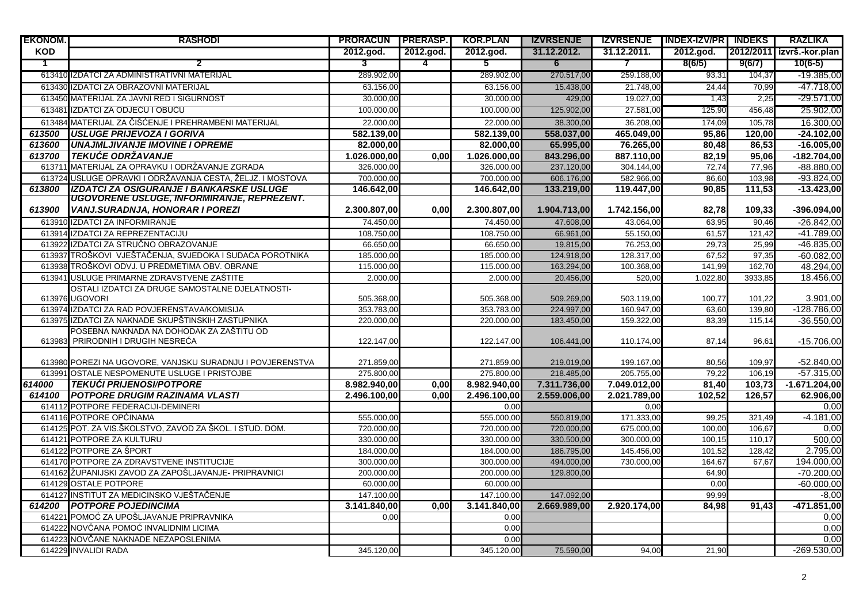| <b>EKONOM.</b> | <b>RASHODI</b>                                                                         | <b>PRORACUN PRERASP.</b> |                   | <b>KOR.PLAN</b>         | <b>IZVRSENJE</b> |                | IZVRSENJE   INDEX-IZV/PR   INDEKS |         | <b>RAZLIKA</b>               |
|----------------|----------------------------------------------------------------------------------------|--------------------------|-------------------|-------------------------|------------------|----------------|-----------------------------------|---------|------------------------------|
| <b>KOD</b>     |                                                                                        | 2012.god.                | 2012.god.         | 2012.god.               | 31.12.2012.      | 31.12.2011.    | 2012.god.                         |         | 2012/2011 izvrš.-kor.plan    |
| T              | 2                                                                                      | 3                        | 4                 | 5                       | 6                | $\overline{7}$ | 8(6/5)                            | 9(6/7)  | $10(6-5)$                    |
|                | 613410 IZDATCI ZA ADMINISTRATIVNI MATERIJAL                                            | 289.902,00               |                   | 289.902,00              | 270.517,00       | 259.188,00     | 93,31                             | 104,37  | $-19.385,00$                 |
|                | 613430 IZDATCI ZA OBRAZOVNI MATERIJAL                                                  | 63.156,00                |                   | 63.156,00               | 15.438,00        | 21.748,00      | 24,44                             | 70.99   | -47.718,00                   |
|                | 613450 MATERIJAL ZA JAVNI RED I SIGURNOST                                              | 30.000,00                |                   | 30.000,00               | 429,00           | 19.027,00      | 1,43                              | 2,25    | -29.571,00                   |
|                | 613481 IZDATCI ZA ODJEĆU I OBUĆU                                                       | 100.000,00               |                   | 100.000,00              | 125.902,00       | 27.581,00      | 125,90                            | 456,48  | 25.902,00                    |
|                | 613484 MATERIJAL ZA ČIŠĆENJE I PREHRAMBENI MATERIJAL                                   | 22.000,00                |                   | 22.000,00               | 38.300,00        | 36.208,00      | 174,09                            | 105,78  | 16.300,00                    |
| 613500         | <b>LUSLUGE PRIJEVOZA I GORIVA</b>                                                      | 582.139,00               |                   | 582.139,00              | 558.037.00       | 465.049.00     | 95,86                             | 120.00  | $-24.102.00$                 |
| 613600         | <b>UNAJMLJIVANJE IMOVINE I OPREME</b>                                                  | 82.000,00                |                   | 82.000,00               | 65.995,00        | 76.265,00      | 80,48                             | 86,53   | $-16.005,00$                 |
| 613700         | <b>TEKUĆE ODRŽAVANJE</b>                                                               | 1.026.000,00             | 0.00              | 1.026.000,00            | 843.296,00       | 887.110,00     | 82,19                             | 95,06   | $-182.704,00$                |
|                | 613711 MATERIJAL ZA OPRAVKU I ODRŽAVANJE ZGRADA                                        | 326.000,00               |                   | 326.000,00              | 237.120,00       | 304.144,00     | 72,74                             | 77,96   | $-88.880,00$                 |
|                | 613724 USLUGE OPRAVKI I ODRŽAVANJA CESTA, ŽELJZ. I MOSTOVA                             | 700.000,00               |                   | 700.000,00              | 606.176,00       | 582.966,00     | 86,60                             | 103,98  | $-93.824,00$                 |
| 613800         | IZDATCI ZA OSIGURANJE I BANKARSKE USLUGE<br>UGOVORENE USLUGE, INFORMIRANJE, REPREZENT. | 146.642,00               |                   | 146.642,00              | 133.219,00       | 119.447,00     | 90,85                             | 111,53  | $-13.423,00$                 |
| 613900         | VANJ.SURADNJA, HONORAR I POREZI                                                        | 2.300.807,00             | 0,00              | 2.300.807,00            | 1.904.713,00     | 1.742.156,00   | 82,78                             | 109,33  | $-396.094,00$                |
|                | 613910 IZDATCI ZA INFORMIRANJE                                                         | 74.450,00                |                   | 74.450,00               | 47.608,00        | 43.064,00      | 63,95                             | 90,46   | $-26.842,00$                 |
|                | 613914 IZDATCI ZA REPREZENTACIJU                                                       | 108.750,00               |                   | 108.750,00              | 66.961,00        | 55.150,00      | 61,57                             | 121,42  | $-41.789,00$                 |
|                | 613922 IZDATCI ZA STRUČNO OBRAZOVANJE                                                  | 66.650,00                |                   | 66.650,00               | 19.815,00        | 76.253,00      | 29,73                             | 25,99   | $-46.835,00$                 |
|                | 613937 TROŠKOVI VJEŠTAČENJA, SVJEDOKA I SUDACA POROTNIKA                               | 185.000,00               |                   | 185.000,00              | 124.918,00       | 128.317,00     | 67,52                             | 97,35   | $-60.082,00$                 |
|                | 613938 TROŠKOVI ODVJ. U PREDMETIMA OBV. OBRANE                                         | 115.000,00               |                   | 115.000,00              | 163.294,00       | 100.368,00     | 141,99                            | 162,70  | 48.294,00                    |
|                | 613941 USLUGE PRIMARNE ZDRAVSTVENE ZAŠTITE                                             | 2.000,00                 |                   | 2.000,00                | 20.456,00        | 520,00         | 1.022,80                          | 3933,85 | 18.456,00                    |
|                | OSTALI IZDATCI ZA DRUGE SAMOSTALNE DJELATNOSTI-<br>613976 UGOVORI                      | 505.368,00               |                   | 505.368,00              | 509.269,00       | 503.119,00     | 100,77                            | 101.22  | 3.901,00                     |
|                | 613974 IZDATCI ZA RAD POVJERENSTAVA/KOMISIJA                                           | 353.783,00               |                   | 353.783,00              | 224.997,00       | 160.947,00     | 63,60                             | 139,80  | -128.786,00                  |
|                | 613975 IZDATCI ZA NAKNADE SKUPŠTINSKIH ZASTUPNIKA                                      | 220.000,00               |                   | 220.000,00              | 183.450,00       | 159.322,00     | 83,39                             | 115,14  | $-36.550,00$                 |
|                | POSEBNA NAKNADA NA DOHODAK ZA ZAŠTITU OD                                               |                          |                   |                         |                  |                |                                   |         |                              |
|                | 613983 PRIRODNIH I DRUGIH NESREĆA                                                      | 122.147,00               |                   | 122.147,00              | 106.441,00       | 110.174,00     | 87,14                             | 96,61   | $-15.706,00$                 |
|                |                                                                                        |                          |                   |                         |                  |                |                                   |         |                              |
|                | 613980 POREZI NA UGOVORE, VANJSKU SURADNJU I POVJERENSTVA                              | 271.859,00               |                   | 271.859,00              | 219.019,00       | 199.167,00     | 80,56                             | 109,97  | $-52.840,00$                 |
|                | 613991 OSTALE NESPOMENUTE USLUGE I PRISTOJBE                                           | 275.800,00               |                   | 275.800,00              | 218.485,00       | 205.755,00     | 79,22                             | 106,19  | $-57.315,00$                 |
| 614000         | <b>TEKUĆI PRIJENOSI/POTPORE</b>                                                        | 8.982.940,00             | 0.00              | 8.982.940,00            | 7.311.736,00     | 7.049.012,00   | 81,40                             | 103,73  | $-1.671.204,00$              |
| 614100         | <b>POTPORE DRUGIM RAZINAMA VLASTI</b>                                                  | 2.496.100,00             | 0.00 <sub>l</sub> | 2.496.100,00            | 2.559.006,00     | 2.021.789,00   | 102,52                            | 126,57  | 62.906,00                    |
|                | 614112 POTPORE FEDERACIJI-DEMINERI                                                     |                          |                   | 0,00                    |                  | 0,00           |                                   |         | 0,00                         |
|                | 614116 POTPORE OPĆINAMA                                                                | 555.000,00               |                   | 555.000,00              | 550.819,00       | 171.333,00     | 99,25                             | 321,49  | $-4.181,00$                  |
|                | 614125 POT. ZA VIS.ŠKOLSTVO, ZAVOD ZA ŠKOL. I STUD. DOM.                               | 720.000,00               |                   | 720.000,00              | 720.000,00       | 675.000,00     | 100,00                            | 106,67  | 0,00                         |
|                | 614121 POTPORE ZA KULTURU                                                              | 330.000,00               |                   | 330.000,00              | 330.500,00       | 300.000,00     | 100,15                            | 110,17  | 500,00                       |
|                | 614122 POTPORE ZA ŠPORT                                                                | 184.000,00               |                   | 184.000,00              | 186.795,00       | 145.456,00     | 101,52                            | 128,42  | 2.795,00                     |
|                | 614170 POTPORE ZA ZDRAVSTVENE INSTITUCIJE                                              | 300.000,00<br>200.000,00 |                   | 300.000,00              | 494.000,00       | 730.000,00     | 164,67                            | 67.67   | 194.000,00                   |
|                | 614162 ŽUPANIJSKI ZAVOD ZA ZAPOŠLJAVANJE- PRIPRAVNICI<br>614129 OSTALE POTPORE         |                          |                   | 200.000,00              | 129.800,00       |                | 64,90                             |         | $-70.200,00$<br>$-60.000,00$ |
|                | 614127 INSTITUT ZA MEDICINSKO VJEŠTAČENJE                                              | 60.000,00<br>147.100,00  |                   | 60.000,00<br>147.100,00 | 147.092,00       |                | 0,00<br>99.99                     |         | $-8,00$                      |
| 614200         | <b>POTPORE POJEDINCIMA</b>                                                             | 3.141.840,00             | 0,00              | 3.141.840,00            | 2.669.989,00     | 2.920.174,00   | 84,98                             | 91,43   | $-471.851,00$                |
|                | 614221 POMOĆ ZA UPOŠLJAVANJE PRIPRAVNIKA                                               | 0,00                     |                   | 0,00                    |                  |                |                                   |         | 0,00                         |
|                | 614222 NOVČANA POMOĆ INVALIDNIM LICIMA                                                 |                          |                   | 0,00                    |                  |                |                                   |         | 0,00                         |
|                | 614223 NOVČANE NAKNADE NEZAPOSLENIMA                                                   |                          |                   | 0,00                    |                  |                |                                   |         | 0,00                         |
|                | 614229 INVALIDI RADA                                                                   | 345.120,00               |                   | 345.120,00              | 75.590,00        | 94,00          | 21,90                             |         | $-269.530,00$                |
|                |                                                                                        |                          |                   |                         |                  |                |                                   |         |                              |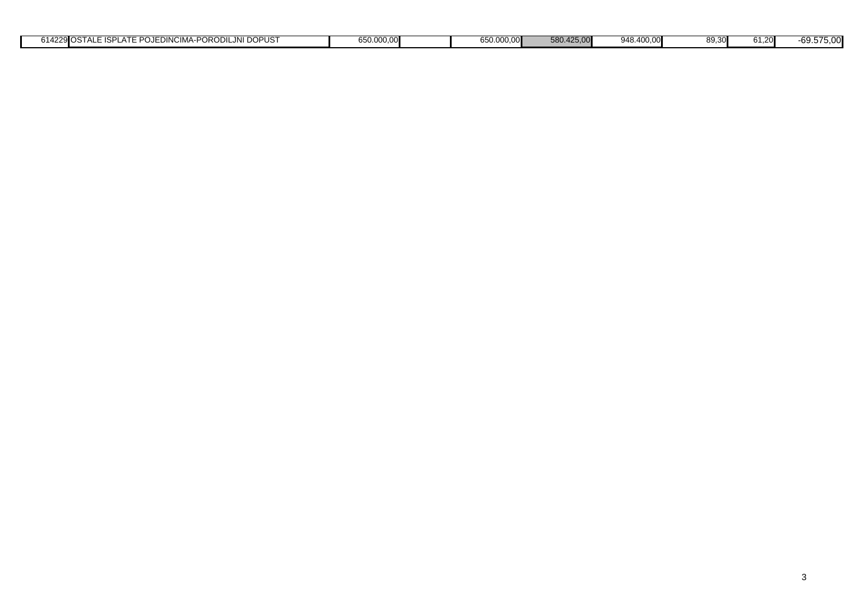| 27<br>$n$ $n$<br>DO.<br>JEDINCIMA-PC<br>JNI DOPUST<br>$-$ <b>JIOSTALE ISPI</b> $^{\prime}$<br>AIE<br>'ORODILJNI<br>1422 <sup>u</sup> مە<br>$\sim$ $\sim$ | 650.000,00 | 650.000,00 | 580.425.00 | 948.400.00 | 89.30 | 61.20 | 69.575,00 |
|----------------------------------------------------------------------------------------------------------------------------------------------------------|------------|------------|------------|------------|-------|-------|-----------|
|                                                                                                                                                          |            |            |            |            |       |       |           |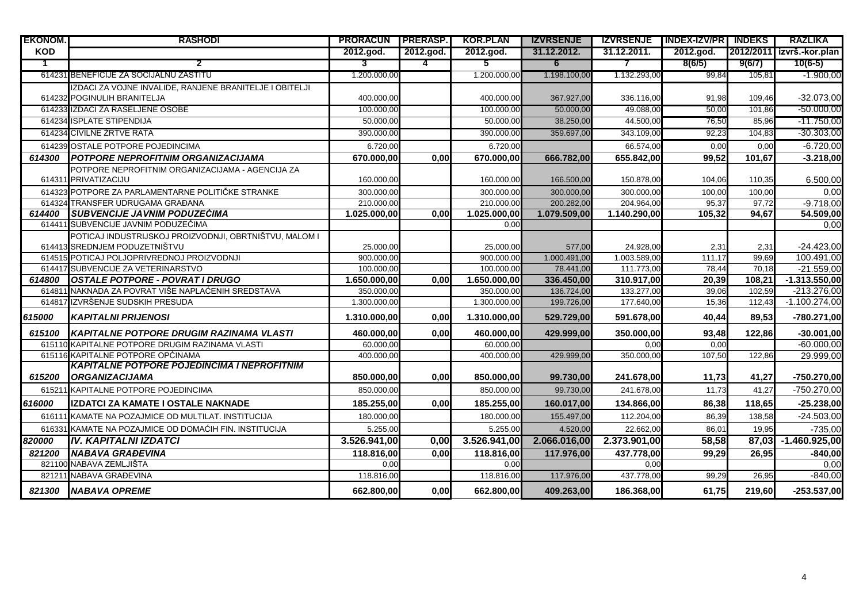| <b>EKONOM.</b> | <b>RASHODI</b>                                                                          | <b>PRORACUN PRERASP.</b> |           | <b>KOR.PLAN</b> | <b>IZVRSENJE</b> |                          | <b>IZVRSENJE   INDEX-IZV/PR   INDEKS</b> |        | <b>RAZLIKA</b>              |
|----------------|-----------------------------------------------------------------------------------------|--------------------------|-----------|-----------------|------------------|--------------------------|------------------------------------------|--------|-----------------------------|
| <b>KOD</b>     |                                                                                         | 2012.god.                | 2012.god. | 2012.god.       | 31.12.2012.      | 31.12.2011.              | 2012.god.                                |        | [2012/2011] izvrš.-kor.plan |
| 1              | 2                                                                                       | 3                        | 4         | $5^{\circ}$     | 6                | $\overline{\phantom{a}}$ | 8(6/5)                                   | 9(6/7) | $10(6-5)$                   |
|                | 614231 BENEFICIJE ZA SOCIJALNU ZASTITU                                                  | 1.200.000,00             |           | 1.200.000,00    | 1.198.100,00     | 1.132.293.00             | 99.84                                    | 105,81 | $-1.900,00$                 |
|                | IZDACI ZA VOJNE INVALIDE, RANJENE BRANITELJE I OBITELJI                                 |                          |           |                 |                  |                          |                                          |        |                             |
|                | 614232 POGINULIH BRANITELJA                                                             | 400.000,00               |           | 400.000,00      | 367.927,00       | 336.116,00               | 91,98                                    | 109,46 | $-32.073,00$                |
|                | 614233 IZDACI ZA RASELJENE OSOBE                                                        | 100.000,00               |           | 100.000,00      | 50.000.00        | 49.088,00                | 50,00                                    | 101.86 | $-50.000,00$                |
|                | 614234 ISPLATE STIPENDIJA                                                               | 50.000,00                |           | 50.000,00       | 38.250,00        | 44.500,00                | 76,50                                    | 85,96  | $-11.750,00$                |
|                | 614234 CIVILNE ZRTVE RATA                                                               | 390.000,00               |           | 390.000,00      | 359.697,00       | 343.109,00               | 92,23                                    | 104,83 | $-30.303,00$                |
|                | 614239 OSTALE POTPORE POJEDINCIMA                                                       | 6.720,00                 |           | 6.720,00        |                  | 66.574,00                | 0.00                                     | 0.00   | $-6.720,00$                 |
| 614300         | <b>I POTPORE NEPROFITNIM ORGANIZACIJAMA</b>                                             | 670.000,00               | 0.00      | 670.000,00      | 666.782,00       | 655.842,00               | 99,52                                    | 101.67 | $-3.218,00$                 |
|                | POTPORE NEPROFITNIM ORGANIZACIJAMA - AGENCIJA ZA                                        |                          |           |                 |                  |                          |                                          |        |                             |
|                | 614311 PRIVATIZACIJU                                                                    | 160.000,00               |           | 160.000,00      | 166.500,00       | 150.878,00               | 104,06                                   | 110,35 | 6.500,00                    |
|                | 614323 POTPORE ZA PARLAMENTARNE POLITIČKE STRANKE                                       | 300.000,00               |           | 300.000,00      | 300.000,00       | 300.000,00               | 100,00                                   | 100,00 | 0,00                        |
|                | 614324 TRANSFER UDRUGAMA GRAĐANA                                                        | 210.000.00               |           | 210.000,00      | 200.282,00       | 204.964,00               | 95,37                                    | 97.72  | $-9.718,00$                 |
| 614400         | <b>SUBVENCIJE JAVNIM PODUZECIMA</b>                                                     | 1.025.000,00             | 0,00      | 1.025.000,00    | 1.079.509,00     | 1.140.290,00             | 105,32                                   | 94,67  | 54.509,00                   |
|                | 614411 SUBVENCIJE JAVNIM PODUZEĆIMA                                                     |                          |           | 0,00            |                  |                          |                                          |        | 0,00                        |
|                | POTICAJ INDUSTRIJSKOJ PROIZVODNJI, OBRTNIŠTVU, MALOM I<br>614413 SREDNJEM PODUZETNIŠTVU | 25.000,00                |           | 25.000,00       | 577,00           | 24.928,00                | 2,31                                     | 2,31   | $-24.423,00$                |
|                | 614515 POTICAJ POLJOPRIVREDNOJ PROIZVODNJI                                              | $\overline{900.000,00}$  |           | 900.000,00      | 1.000.491,00     | 1.003.589,00             | 111,17                                   | 99,69  | 100.491,00                  |
|                | 614417 SUBVENCIJE ZA VETERINARSTVO                                                      | 100.000,00               |           | 100.000,00      | 78.441,00        | 111.773,00               | 78,44                                    | 70,18  | $-21.559,00$                |
| 614800         | <b>OSTALE POTPORE - POVRAT I DRUGO</b>                                                  | 1.650.000,00             | 0.00      | 1.650.000,00    | 336.450,00       | 310.917,00               | 20,39                                    | 108.21 | $-1.313.550,00$             |
|                | 614811 NAKNADA ZA POVRAT VIŠE NAPLAĆENIH SREDSTAVA                                      | 350.000.00               |           | 350.000,00      | 136.724.00       | 133.277,00               | 39,06                                    | 102.59 | $-213.276.00$               |
|                | 614817 IZVRŠENJE SUDSKIH PRESUDA                                                        | 1.300.000,00             |           | 1.300.000,00    | 199.726,00       | 177.640,00               | 15,36                                    | 112,43 | $-1.100.274,00$             |
| 615000         | <b>KAPITALNI PRIJENOSI</b>                                                              | 1.310.000.00             | 0.00      | 1.310.000.00    | 529.729,00       | 591.678,00               | 40.44                                    | 89.53  | -780.271,00                 |
| 615100         | KAPITALNE POTPORE DRUGIM RAZINAMA VLASTI                                                | 460.000,00               | 0,00      | 460.000,00      | 429.999,00       | 350.000,00               | 93,48                                    | 122,86 | $-30.001,00$                |
|                | 615110 KAPITALNE POTPORE DRUGIM RAZINAMA VLASTI                                         | 60.000,00                |           | 60.000,00       |                  | 0,00                     | 0,00                                     |        | $-60.000,00$                |
|                | 615116 KAPITALNE POTPORE OPĆINAMA                                                       | 400.000,00               |           | 400.000,00      | 429.999,00       | 350.000,00               | 107,50                                   | 122,86 | 29.999,00                   |
|                | <b>KAPITALNE POTPORE POJEDINCIMA I NEPROFITNIM</b>                                      |                          |           |                 |                  |                          |                                          |        |                             |
| 615200         | <b>ORGANIZACIJAMA</b>                                                                   | 850.000.00               | 0.00      | 850.000,00      | 99.730,00        | 241.678,00               | 11,73                                    | 41,27  | $-750.270,00$               |
|                | 615211 KAPITALNE POTPORE POJEDINCIMA                                                    | 850.000,00               |           | 850.000,00      | 99.730,00        | 241.678,00               | 11,73                                    | 41,27  | -750.270,00                 |
| 616000         | IZDATCI ZA KAMATE I OSTALE NAKNADE                                                      | 185.255,00               | 0,00      | 185.255,00      | 160.017,00       | 134.866,00               | 86,38                                    | 118,65 | $-25.238,00$                |
|                | 616111 KAMATE NA POZAJMICE OD MULTILAT. INSTITUCIJA                                     | 180.000,00               |           | 180.000,00      | 155.497,00       | 112.204,00               | 86,39                                    | 138,58 | $-24.503,00$                |
|                | 616331 KAMATE NA POZAJMICE OD DOMAĆIH FIN. INSTITUCIJA                                  | 5.255.00                 |           | 5.255.00        | 4.520.00         | 22.662.00                | 86.01                                    | 19.95  | $-735,00$                   |
| 820000         | <b>IV. KAPITALNI IZDATCI</b>                                                            | 3.526.941,00             | 0,00      | 3.526.941,00    | 2.066.016,00     | 2.373.901,00             | 58,58                                    |        | 87,03 -1.460.925,00         |
| 821200         | <b>NABAVA GRAĐEVINA</b>                                                                 | 118.816,00               | 0,00      | 118.816,00      | 117.976,00       | 437.778,00               | 99,29                                    | 26,95  | $-840,00$                   |
|                | 821100 NABAVA ZEMLJIŠTA                                                                 | 0.00                     |           | 0,00            |                  | 0,00                     |                                          |        | 0,00                        |
|                | 821211 NABAVA GRAĐEVINA                                                                 | 118.816,00               |           | 118.816,00      | 117.976,00       | 437.778,00               | 99,29                                    | 26,95  | $-840,00$                   |
| 821300         | <b>INABAVA OPREME</b>                                                                   | 662.800,00               | 0,00      | 662.800,00      | 409.263,00       | 186.368,00               | 61,75                                    | 219.60 | $-253.537,00$               |